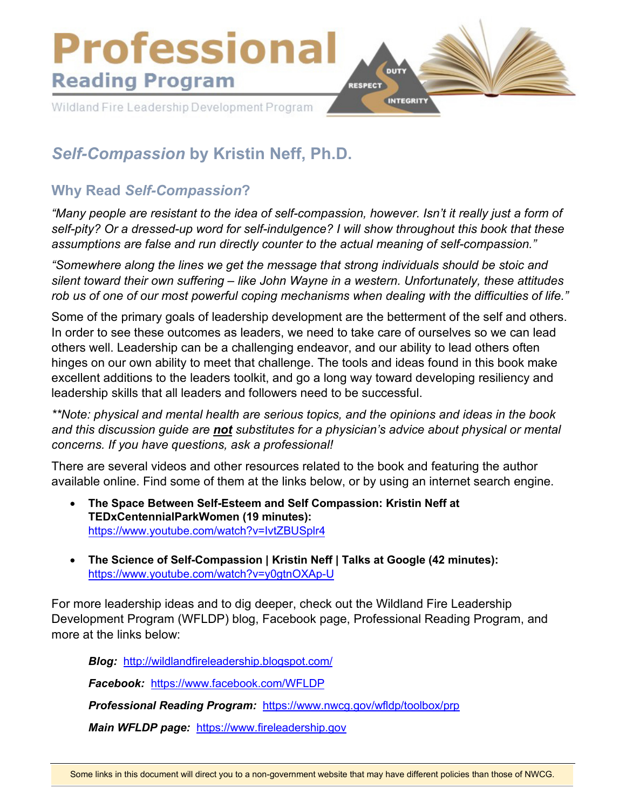

# *Self-Compassion* **by Kristin Neff, Ph.D.**

## **Why Read** *Self-Compassion***?**

*"Many people are resistant to the idea of self-compassion, however. Isn't it really just a form of*  self-pity? Or a dressed-up word for self-indulgence? I will show throughout this book that these *assumptions are false and run directly counter to the actual meaning of self-compassion."* 

*"Somewhere along the lines we get the message that strong individuals should be stoic and silent toward their own suffering – like John Wayne in a western. Unfortunately, these attitudes rob us of one of our most powerful coping mechanisms when dealing with the difficulties of life."*

Some of the primary goals of leadership development are the betterment of the self and others. In order to see these outcomes as leaders, we need to take care of ourselves so we can lead others well. Leadership can be a challenging endeavor, and our ability to lead others often hinges on our own ability to meet that challenge. The tools and ideas found in this book make excellent additions to the leaders toolkit, and go a long way toward developing resiliency and leadership skills that all leaders and followers need to be successful.

*\*\*Note: physical and mental health are serious topics, and the opinions and ideas in the book and this discussion guide are not substitutes for a physician's advice about physical or mental concerns. If you have questions, ask a professional!* 

There are several videos and other resources related to the book and featuring the author available online. Find some of them at the links below, or by using an internet search engine.

- **The Space Between Self-Esteem and Self Compassion: Kristin Neff at TEDxCentennialParkWomen (19 minutes):** <https://www.youtube.com/watch?v=IvtZBUSplr4>
- **The Science of Self-Compassion | Kristin Neff | Talks at Google (42 minutes):** <https://www.youtube.com/watch?v=y0gtnOXAp-U>

For more leadership ideas and to dig deeper, check out the Wildland Fire Leadership Development Program (WFLDP) blog, Facebook page, Professional Reading Program, and more at the links below:

*Blog:* <http://wildlandfireleadership.blogspot.com/>

*Facebook:* <https://www.facebook.com/WFLDP>

*Professional Reading Program:* <https://www.nwcg.gov/wfldp/toolbox/prp>

*Main WFLDP page:* [https://www.fireleadership.gov](https://www.fireleadership.gov/)